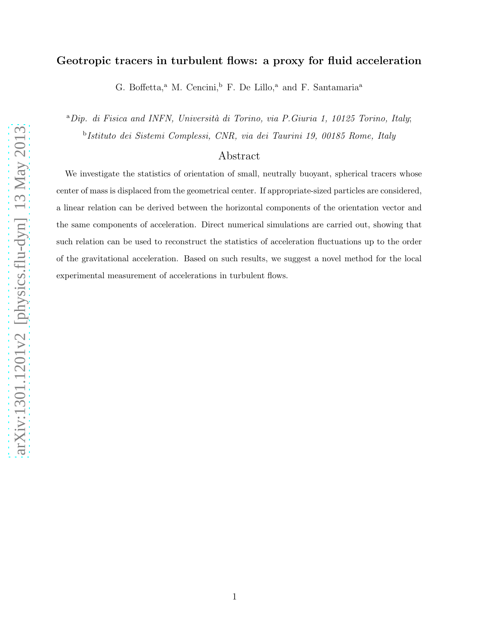# Geotropic tracers in turbulent flows: a proxy for fluid acceleration

G. Boffetta,<sup>a</sup> M. Cencini,<sup>b</sup> F. De Lillo,<sup>a</sup> and F. Santamaria<sup>a</sup>

 ${}^a$ Dip. di Fisica and INFN, Università di Torino, via P.Giuria 1, 10125 Torino, Italy; b Istituto dei Sistemi Complessi, CNR, via dei Taurini 19, 00185 Rome, Italy

## Abstract

We investigate the statistics of orientation of small, neutrally buoyant, spherical tracers whose center of mass is displaced from the geometrical center. If appropriate-sized particles are considered, a linear relation can be derived between the horizontal components of the orientation vector and the same components of acceleration. Direct numerical simulations are carried out, showing that such relation can be used to reconstruct the statistics of acceleration fluctuations up to the order of the gravitational acceleration. Based on such results, we suggest a novel method for the local experimental measurement of accelerations in turbulent flows.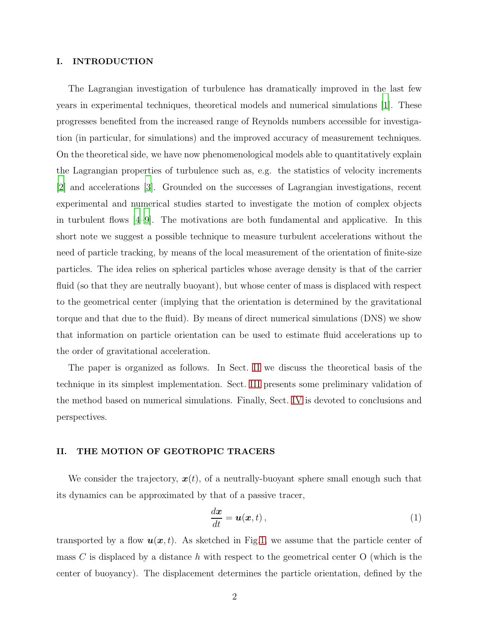### I. INTRODUCTION

The Lagrangian investigation of turbulence has dramatically improved in the last few years in experimental techniques, theoretical models and numerical simulations [\[1](#page-12-0)]. These progresses benefited from the increased range of Reynolds numbers accessible for investigation (in particular, for simulations) and the improved accuracy of measurement techniques. On the theoretical side, we have now phenomenological models able to quantitatively explain the Lagrangian properties of turbulence such as, e.g. the statistics of velocity increments [\[2](#page-12-1)] and accelerations [\[3](#page-12-2)]. Grounded on the successes of Lagrangian investigations, recent experimental and numerical studies started to investigate the motion of complex objects in turbulent flows [\[4](#page-12-3)[–9](#page-12-4)]. The motivations are both fundamental and applicative. In this short note we suggest a possible technique to measure turbulent accelerations without the need of particle tracking, by means of the local measurement of the orientation of finite-size particles. The idea relies on spherical particles whose average density is that of the carrier fluid (so that they are neutrally buoyant), but whose center of mass is displaced with respect to the geometrical center (implying that the orientation is determined by the gravitational torque and that due to the fluid). By means of direct numerical simulations (DNS) we show that information on particle orientation can be used to estimate fluid accelerations up to the order of gravitational acceleration.

The paper is organized as follows. In Sect. [II](#page-1-0) we discuss the theoretical basis of the technique in its simplest implementation. Sect. [III](#page-4-0) presents some preliminary validation of the method based on numerical simulations. Finally, Sect. [IV](#page-10-0) is devoted to conclusions and perspectives.

#### <span id="page-1-0"></span>II. THE MOTION OF GEOTROPIC TRACERS

We consider the trajectory,  $x(t)$ , of a neutrally-buoyant sphere small enough such that its dynamics can be approximated by that of a passive tracer,

<span id="page-1-1"></span>
$$
\frac{d\boldsymbol{x}}{dt} = \boldsymbol{u}(\boldsymbol{x},t)\,,\tag{1}
$$

transported by a flow  $u(x, t)$ . As sketched in Fig[.1,](#page-2-0) we assume that the particle center of mass C is displaced by a distance h with respect to the geometrical center O (which is the center of buoyancy). The displacement determines the particle orientation, defined by the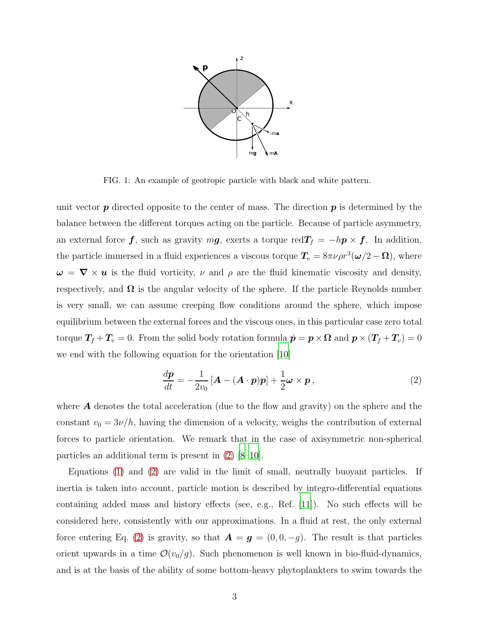

<span id="page-2-0"></span>FIG. 1: An example of geotropic particle with black and white pattern.

unit vector  $p$  directed opposite to the center of mass. The direction  $p$  is determined by the balance between the different torques acting on the particle. Because of particle asymmetry, an external force f, such as gravity  $mg$ , exerts a torque red $T_f = -hp \times f$ . In addition, the particle immersed in a fluid experiences a viscous torque  $T_v = 8\pi\nu\rho r^3(\omega/2 - \Omega)$ , where  $\omega = \nabla \times u$  is the fluid vorticity,  $\nu$  and  $\rho$  are the fluid kinematic viscosity and density, respectively, and  $\Omega$  is the angular velocity of the sphere. If the particle Reynolds number is very small, we can assume creeping flow conditions around the sphere, which impose equilibrium between the external forces and the viscous ones, in this particular case zero total torque  $T_f + T_v = 0$ . From the solid body rotation formula  $\dot{\mathbf{p}} = \mathbf{p} \times \mathbf{\Omega}$  and  $\mathbf{p} \times (T_f + T_v) = 0$ we end with the following equation for the orientation [\[10\]](#page-12-5)

<span id="page-2-1"></span>
$$
\frac{d\mathbf{p}}{dt} = -\frac{1}{2v_0} \left[ \mathbf{A} - (\mathbf{A} \cdot \mathbf{p}) \mathbf{p} \right] + \frac{1}{2} \boldsymbol{\omega} \times \mathbf{p} \,, \tag{2}
$$

where A denotes the total acceleration (due to the flow and gravity) on the sphere and the constant  $v_0 = 3\nu/h$ , having the dimension of a velocity, weighs the contribution of external forces to particle orientation. We remark that in the case of axisymmetric non-spherical particles an additional term is present in [\(2\)](#page-2-1) [\[8](#page-12-6)[–10\]](#page-12-5).

Equations [\(1\)](#page-1-1) and [\(2\)](#page-2-1) are valid in the limit of small, neutrally buoyant particles. If inertia is taken into account, particle motion is described by integro-differential equations containing added mass and history effects (see, e.g., Ref. [\[11](#page-12-7)]). No such effects will be considered here, consistently with our approximations. In a fluid at rest, the only external force entering Eq. [\(2\)](#page-2-1) is gravity, so that  $\mathbf{A} = \mathbf{g} = (0, 0, -g)$ . The result is that particles orient upwards in a time  $\mathcal{O}(v_0/g)$ . Such phenomenon is well known in bio-fluid-dynamics, and is at the basis of the ability of some bottom-heavy phytoplankters to swim towards the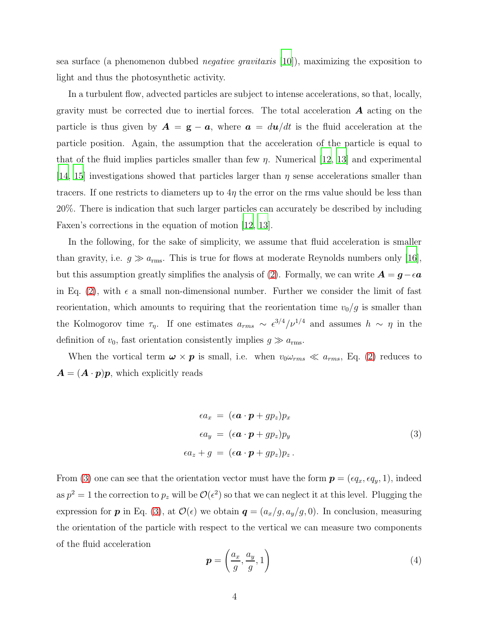sea surface (a phenomenon dubbed *negative gravitaxis* [\[10\]](#page-12-5)), maximizing the exposition to light and thus the photosynthetic activity.

In a turbulent flow, advected particles are subject to intense accelerations, so that, locally, gravity must be corrected due to inertial forces. The total acceleration  $\bm{A}$  acting on the particle is thus given by  $\mathbf{A} = \mathbf{g} - \mathbf{a}$ , where  $\mathbf{a} = d\mathbf{u}/dt$  is the fluid acceleration at the particle position. Again, the assumption that the acceleration of the particle is equal to that of the fluid implies particles smaller than few  $\eta$ . Numerical [\[12,](#page-12-8) [13\]](#page-13-0) and experimental [\[14,](#page-13-1) [15](#page-13-2)] investigations showed that particles larger than  $\eta$  sense accelerations smaller than tracers. If one restricts to diameters up to  $4\eta$  the error on the rms value should be less than 20%. There is indication that such larger particles can accurately be described by including Faxen's corrections in the equation of motion [\[12](#page-12-8), [13\]](#page-13-0).

In the following, for the sake of simplicity, we assume that fluid acceleration is smaller than gravity, i.e.  $g \gg a_{\rm rms}$ . This is true for flows at moderate Reynolds numbers only [\[16\]](#page-13-3), but this assumption greatly simplifies the analysis of [\(2\)](#page-2-1). Formally, we can write  $\mathbf{A} = \mathbf{g} - \epsilon \mathbf{a}$ in Eq. [\(2\)](#page-2-1), with  $\epsilon$  a small non-dimensional number. Further we consider the limit of fast reorientation, which amounts to requiring that the reorientation time  $v_0/g$  is smaller than the Kolmogorov time  $\tau_{\eta}$ . If one estimates  $a_{rms} \sim \epsilon^{3/4}/\nu^{1/4}$  and assumes  $h \sim \eta$  in the definition of  $v_0$ , fast orientation consistently implies  $g \gg a_{\text{rms}}$ .

When the vortical term  $\omega \times p$  is small, i.e. when  $v_0 \omega_{rms} \ll a_{rms}$ , Eq. [\(2\)](#page-2-1) reduces to  $\mathbf{A} = (\mathbf{A} \cdot \mathbf{p})\mathbf{p}$ , which explicitly reads

<span id="page-3-0"></span>
$$
\epsilon a_x = (\epsilon \mathbf{a} \cdot \mathbf{p} + gp_z) p_x
$$
  
\n
$$
\epsilon a_y = (\epsilon \mathbf{a} \cdot \mathbf{p} + gp_z) p_y
$$
  
\n
$$
\epsilon a_z + g = (\epsilon \mathbf{a} \cdot \mathbf{p} + gp_z) p_z.
$$
\n(3)

From [\(3\)](#page-3-0) one can see that the orientation vector must have the form  $p = (eq_x, eq_y, 1)$ , indeed as  $p^2 = 1$  the correction to  $p_z$  will be  $\mathcal{O}(\epsilon^2)$  so that we can neglect it at this level. Plugging the expression for **p** in Eq. [\(3\)](#page-3-0), at  $\mathcal{O}(\epsilon)$  we obtain  $q = (a_x/g, a_y/g, 0)$ . In conclusion, measuring the orientation of the particle with respect to the vertical we can measure two components of the fluid acceleration

<span id="page-3-1"></span>
$$
\boldsymbol{p} = \left(\frac{a_x}{g}, \frac{a_y}{g}, 1\right) \tag{4}
$$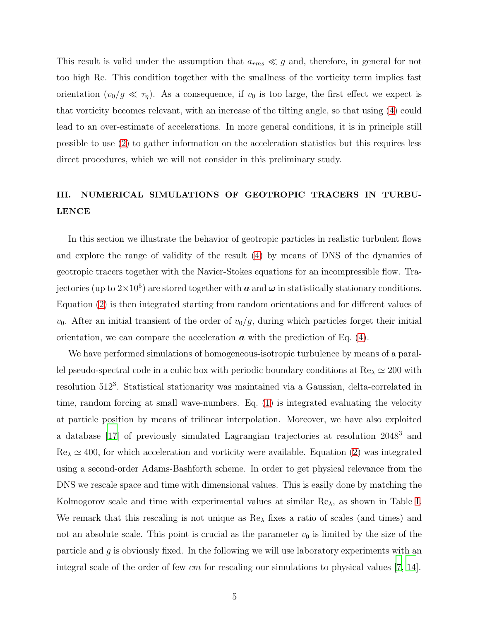This result is valid under the assumption that  $a_{rms} \ll g$  and, therefore, in general for not too high Re. This condition together with the smallness of the vorticity term implies fast orientation  $(v_0/g \ll \tau_\eta)$ . As a consequence, if  $v_0$  is too large, the first effect we expect is that vorticity becomes relevant, with an increase of the tilting angle, so that using [\(4\)](#page-3-1) could lead to an over-estimate of accelerations. In more general conditions, it is in principle still possible to use [\(2\)](#page-2-1) to gather information on the acceleration statistics but this requires less direct procedures, which we will not consider in this preliminary study.

# <span id="page-4-0"></span>III. NUMERICAL SIMULATIONS OF GEOTROPIC TRACERS IN TURBU-LENCE

In this section we illustrate the behavior of geotropic particles in realistic turbulent flows and explore the range of validity of the result [\(4\)](#page-3-1) by means of DNS of the dynamics of geotropic tracers together with the Navier-Stokes equations for an incompressible flow. Trajectories (up to  $2\times10^5$ ) are stored together with  $\bm{a}$  and  $\bm{\omega}$  in statistically stationary conditions. Equation [\(2\)](#page-2-1) is then integrated starting from random orientations and for different values of  $v_0$ . After an initial transient of the order of  $v_0/g$ , during which particles forget their initial orientation, we can compare the acceleration  $\boldsymbol{a}$  with the prediction of Eq. [\(4\)](#page-3-1).

We have performed simulations of homogeneous-isotropic turbulence by means of a parallel pseudo-spectral code in a cubic box with periodic boundary conditions at  $\text{Re}_{\lambda} \simeq 200$  with resolution 512<sup>3</sup>. Statistical stationarity was maintained via a Gaussian, delta-correlated in time, random forcing at small wave-numbers. Eq. [\(1\)](#page-1-1) is integrated evaluating the velocity at particle position by means of trilinear interpolation. Moreover, we have also exploited a database [\[17](#page-13-4)] of previously simulated Lagrangian trajectories at resolution 2048<sup>3</sup> and  $\text{Re}_{\lambda} \simeq 400$ , for which acceleration and vorticity were available. Equation [\(2\)](#page-2-1) was integrated using a second-order Adams-Bashforth scheme. In order to get physical relevance from the DNS we rescale space and time with dimensional values. This is easily done by matching the Kolmogorov scale and time with experimental values at similar Reλ, as shown in Table [I.](#page-5-0) We remark that this rescaling is not unique as  $\text{Re}\lambda$  fixes a ratio of scales (and times) and not an absolute scale. This point is crucial as the parameter  $v_0$  is limited by the size of the particle and  $g$  is obviously fixed. In the following we will use laboratory experiments with an integral scale of the order of few cm for rescaling our simulations to physical values [\[7](#page-12-9), [14\]](#page-13-1).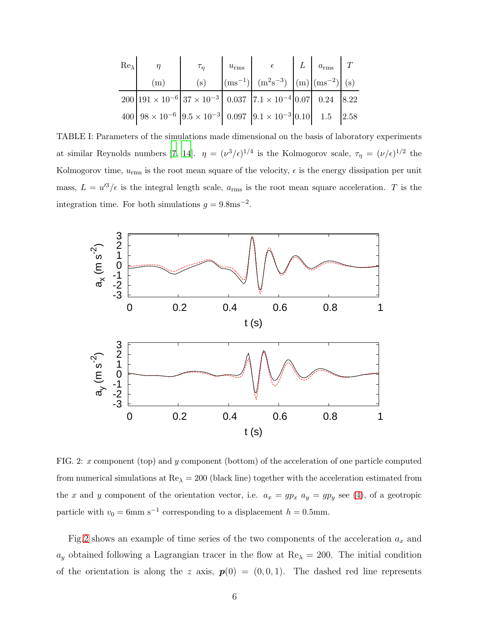| $Re_{\lambda}$ |                                                                                                         | $\tau_\eta$ | $u_{\rm rms}$ $\epsilon$                                                                                                                               | $L \mid a_{\text{rms}} \mid T$ |  |
|----------------|---------------------------------------------------------------------------------------------------------|-------------|--------------------------------------------------------------------------------------------------------------------------------------------------------|--------------------------------|--|
|                | (m)                                                                                                     | (s)         | $\left[\text{(ms}^{-1})\right]$ $\left(\text{m}^2\text{s}^{-3}\right)$ $\left[\text{(m)}\right]$ $\left(\text{ms}^{-2}\right)$ $\left(\text{s}\right)$ |                                |  |
|                | $200 191\times10^{-6} 37\times10^{-3} 0.037 7.1\times10^{-4} 0.07 0.24 8.22$                            |             |                                                                                                                                                        |                                |  |
|                | $400\big 98\times10^{-6}\big 9.5\times10^{-3}\big 0.097\big 9.1\times10^{-3}\big 0.10\big 1.5\big 2.58$ |             |                                                                                                                                                        |                                |  |

<span id="page-5-0"></span>TABLE I: Parameters of the simulations made dimensional on the basis of laboratory experiments at similar Reynolds numbers [\[7](#page-12-9), [14](#page-13-1)].  $\eta = (\nu^3/\epsilon)^{1/4}$  is the Kolmogorov scale,  $\tau_{\eta} = (\nu/\epsilon)^{1/2}$  the Kolmogorov time,  $u_{\text{rms}}$  is the root mean square of the velocity,  $\epsilon$  is the energy dissipation per unit mass,  $L = u'^3/\epsilon$  is the integral length scale,  $a_{\text{rms}}$  is the root mean square acceleration. T is the integration time. For both simulations  $g = 9.8 \text{ms}^{-2}$ .



<span id="page-5-1"></span>FIG. 2: x component (top) and y component (bottom) of the acceleration of one particle computed from numerical simulations at  $\text{Re}\lambda = 200$  (black line) together with the acceleration estimated from the x and y component of the orientation vector, i.e.  $a_x = gp_x$   $a_y = gp_y$  see [\(4\)](#page-3-1), of a geotropic particle with  $v_0 = 6$ mm s<sup>-1</sup> corresponding to a displacement  $h = 0.5$ mm.

Fig[.2](#page-5-1) shows an example of time series of the two components of the acceleration  $a_x$  and  $a_y$  obtained following a Lagrangian tracer in the flow at  $\text{Re}_\lambda = 200$ . The initial condition of the orientation is along the z axis,  $p(0) = (0, 0, 1)$ . The dashed red line represents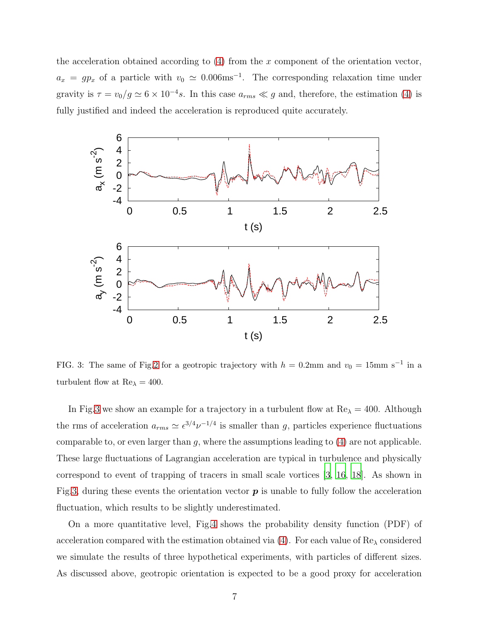the acceleration obtained according to  $(4)$  from the x component of the orientation vector,  $a_x = gp_x$  of a particle with  $v_0 \simeq 0.006$ ms<sup>-1</sup>. The corresponding relaxation time under gravity is  $\tau = v_0/g \simeq 6 \times 10^{-4} s$ . In this case  $a_{rms} \ll g$  and, therefore, the estimation [\(4\)](#page-3-1) is fully justified and indeed the acceleration is reproduced quite accurately.



<span id="page-6-0"></span>FIG. 3: The same of Fig[.2](#page-5-1) for a geotropic trajectory with  $h = 0.2$ mm and  $v_0 = 15$ mm s<sup>-1</sup> in a turbulent flow at  $Re_{\lambda} = 400$ .

In Fig[.3](#page-6-0) we show an example for a trajectory in a turbulent flow at  $Re_\lambda = 400$ . Although the rms of acceleration  $a_{rms} \simeq \epsilon^{3/4} \nu^{-1/4}$  is smaller than g, particles experience fluctuations comparable to, or even larger than  $g$ , where the assumptions leading to  $(4)$  are not applicable. These large fluctuations of Lagrangian acceleration are typical in turbulence and physically correspond to event of trapping of tracers in small scale vortices [\[3](#page-12-2), [16](#page-13-3), [18\]](#page-13-5). As shown in Fig[.3,](#page-6-0) during these events the orientation vector  $p$  is unable to fully follow the acceleration fluctuation, which results to be slightly underestimated.

On a more quantitative level, Fig[.4](#page-7-0) shows the probability density function (PDF) of acceleration compared with the estimation obtained via  $(4)$ . For each value of  $\text{Re}_{\lambda}$  considered we simulate the results of three hypothetical experiments, with particles of different sizes. As discussed above, geotropic orientation is expected to be a good proxy for acceleration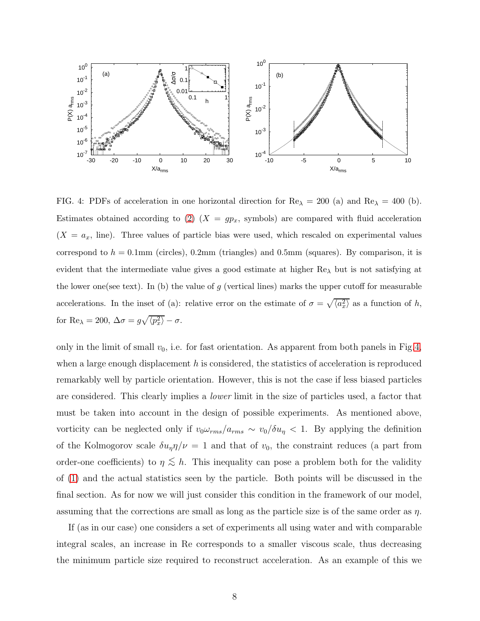

<span id="page-7-0"></span>FIG. 4: PDFs of acceleration in one horizontal direction for  $\text{Re}_{\lambda} = 200$  (a) and  $\text{Re}_{\lambda} = 400$  (b). Estimates obtained according to [\(2\)](#page-2-1)  $(X = gp_x,$  symbols) are compared with fluid acceleration  $(X = a_x, \text{ line})$ . Three values of particle bias were used, which rescaled on experimental values correspond to  $h = 0.1$ mm (circles), 0.2mm (triangles) and 0.5mm (squares). By comparison, it is evident that the intermediate value gives a good estimate at higher  $Re_{\lambda}$  but is not satisfying at the lower one(see text). In (b) the value of g (vertical lines) marks the upper cutoff for measurable accelerations. In the inset of (a): relative error on the estimate of  $\sigma = \sqrt{\langle a_x^2 \rangle}$  as a function of h, for Re<sub> $\lambda$ </sub> = 200,  $\Delta \sigma = g \sqrt{\langle p_x^2 \rangle} - \sigma$ .

only in the limit of small  $v_0$ , i.e. for fast orientation. As apparent from both panels in Fig[.4,](#page-7-0) when a large enough displacement  $h$  is considered, the statistics of acceleration is reproduced remarkably well by particle orientation. However, this is not the case if less biased particles are considered. This clearly implies a *lower* limit in the size of particles used, a factor that must be taken into account in the design of possible experiments. As mentioned above, vorticity can be neglected only if  $v_0 \omega_{rms}/a_{rms} \sim v_0/\delta u_\eta < 1$ . By applying the definition of the Kolmogorov scale  $\delta u_{\eta} \eta / \nu = 1$  and that of  $v_0$ , the constraint reduces (a part from order-one coefficients) to  $\eta \lesssim h$ . This inequality can pose a problem both for the validity of [\(1\)](#page-1-1) and the actual statistics seen by the particle. Both points will be discussed in the final section. As for now we will just consider this condition in the framework of our model, assuming that the corrections are small as long as the particle size is of the same order as  $\eta$ .

If (as in our case) one considers a set of experiments all using water and with comparable integral scales, an increase in Re corresponds to a smaller viscous scale, thus decreasing the minimum particle size required to reconstruct acceleration. As an example of this we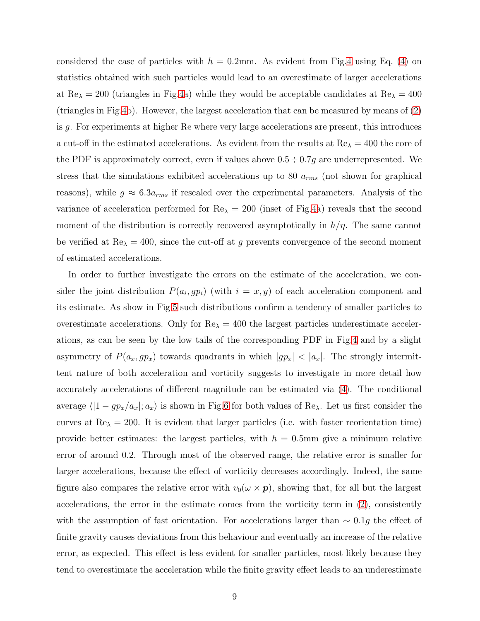considered the case of particles with  $h = 0.2$ mm. As evident from Fig[.4](#page-7-0) using Eq. [\(4\)](#page-3-1) on statistics obtained with such particles would lead to an overestimate of larger accelerations at Re<sub> $\lambda$ </sub> = 200 (triangles in Fig[.4a](#page-7-0)) while they would be acceptable candidates at Re<sub> $\lambda$ </sub> = 400 (triangles in Fig[.4b](#page-7-0)). However, the largest acceleration that can be measured by means of [\(2\)](#page-2-1) is g. For experiments at higher Re where very large accelerations are present, this introduces a cut-off in the estimated accelerations. As evident from the results at  $Re_\lambda = 400$  the core of the PDF is approximately correct, even if values above  $0.5 \div 0.7g$  are underrepresented. We stress that the simulations exhibited accelerations up to 80  $a_{rms}$  (not shown for graphical reasons), while  $g \approx 6.3a_{rms}$  if rescaled over the experimental parameters. Analysis of the variance of acceleration performed for  $\text{Re}\lambda = 200$  (inset of Fig[.4a](#page-7-0)) reveals that the second moment of the distribution is correctly recovered asymptotically in  $h/\eta$ . The same cannot be verified at  $Re_{\lambda} = 400$ , since the cut-off at g prevents convergence of the second moment of estimated accelerations.

In order to further investigate the errors on the estimate of the acceleration, we consider the joint distribution  $P(a_i, gp_i)$  (with  $i = x, y$ ) of each acceleration component and its estimate. As show in Fig[.5](#page-9-0) such distributions confirm a tendency of smaller particles to overestimate accelerations. Only for  $\text{Re}\lambda = 400$  the largest particles underestimate accelerations, as can be seen by the low tails of the corresponding PDF in Fig[.4](#page-7-0) and by a slight asymmetry of  $P(a_x, gp_x)$  towards quadrants in which  $|gp_x| < |a_x|$ . The strongly intermittent nature of both acceleration and vorticity suggests to investigate in more detail how accurately accelerations of different magnitude can be estimated via [\(4\)](#page-3-1). The conditional average  $\langle 1 - gp_x/a_x |; a_x \rangle$  is shown in Fig[.6](#page-10-1) for both values of Re<sub> $\lambda$ </sub>. Let us first consider the curves at  $Re_{\lambda} = 200$ . It is evident that larger particles (i.e. with faster reorientation time) provide better estimates: the largest particles, with  $h = 0.5$ mm give a minimum relative error of around 0.2. Through most of the observed range, the relative error is smaller for larger accelerations, because the effect of vorticity decreases accordingly. Indeed, the same figure also compares the relative error with  $v_0(\omega \times p)$ , showing that, for all but the largest accelerations, the error in the estimate comes from the vorticity term in [\(2\)](#page-2-1), consistently with the assumption of fast orientation. For accelerations larger than  $\sim 0.1g$  the effect of finite gravity causes deviations from this behaviour and eventually an increase of the relative error, as expected. This effect is less evident for smaller particles, most likely because they tend to overestimate the acceleration while the finite gravity effect leads to an underestimate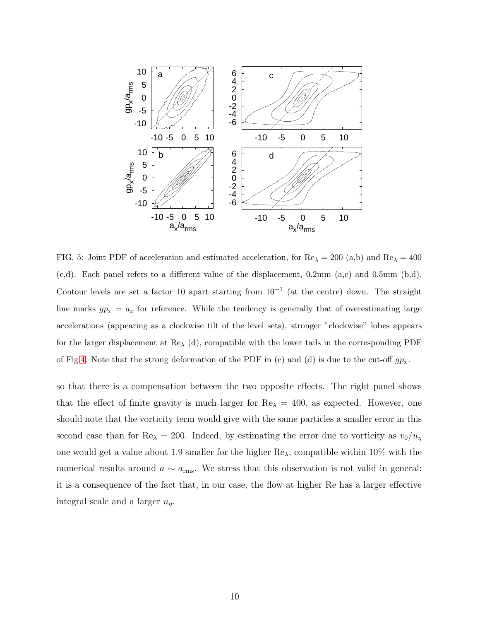

<span id="page-9-0"></span>FIG. 5: Joint PDF of acceleration and estimated acceleration, for  $\text{Re}\lambda = 200$  (a,b) and  $\text{Re}\lambda = 400$ (c,d). Each panel refers to a different value of the displacement, 0.2mm (a,c) and 0.5mm (b,d). Contour levels are set a factor 10 apart starting from  $10^{-1}$  (at the centre) down. The straight line marks  $gp_x = a_x$  for reference. While the tendency is generally that of overestimating large accelerations (appearing as a clockwise tilt of the level sets), stronger "clockwise" lobes appears for the larger displacement at  $\text{Re}_{\lambda}$  (d), compatible with the lower tails in the corresponding PDF of Fig[.4.](#page-7-0) Note that the strong deformation of the PDF in (c) and (d) is due to the cut-off  $gp_x$ .

so that there is a compensation between the two opposite effects. The right panel shows that the effect of finite gravity is much larger for  $\text{Re}_{\lambda} = 400$ , as expected. However, one should note that the vorticity term would give with the same particles a smaller error in this second case than for Re<sub> $\lambda$ </sub> = 200. Indeed, by estimating the error due to vorticity as  $v_0/u_\eta$ one would get a value about 1.9 smaller for the higher  $\text{Re}_{\lambda}$ , compatible within 10% with the numerical results around  $a \sim a_{\text{rms}}$ . We stress that this observation is not valid in general: it is a consequence of the fact that, in our case, the flow at higher Re has a larger effective integral scale and a larger  $u_n$ .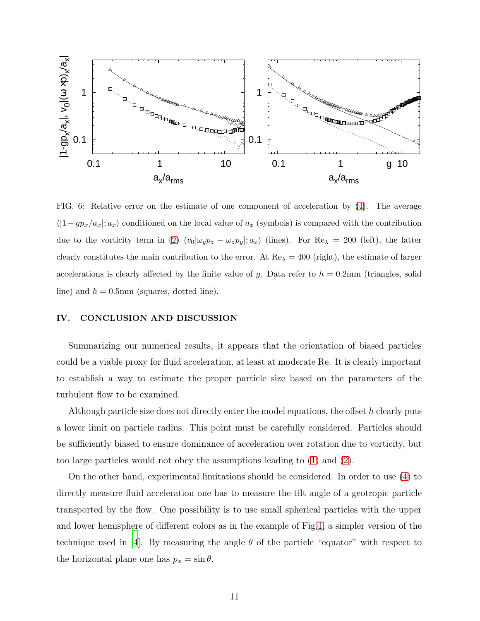

<span id="page-10-1"></span>FIG. 6: Relative error on the estimate of one component of acceleration by [\(4\)](#page-3-1). The average  $\langle 1-gp_x/a_x; a_x \rangle$  conditioned on the local value of  $a_x$  (symbols) is compared with the contribution due to the vorticity term in [\(2\)](#page-2-1)  $\langle v_0|\omega_y p_z - \omega_z p_y|; a_x \rangle$  (lines). For Re<sub> $\lambda$ </sub> = 200 (left), the latter clearly constitutes the main contribution to the error. At  $\text{Re}\lambda = 400$  (right), the estimate of larger accelerations is clearly affected by the finite value of g. Data refer to  $h = 0.2$ mm (triangles, solid line) and  $h = 0.5$ mm (squares, dotted line).

#### <span id="page-10-0"></span>IV. CONCLUSION AND DISCUSSION

Summarizing our numerical results, it appears that the orientation of biased particles could be a viable proxy for fluid acceleration, at least at moderate Re. It is clearly important to establish a way to estimate the proper particle size based on the parameters of the turbulent flow to be examined.

Although particle size does not directly enter the model equations, the offset  $h$  clearly puts a lower limit on particle radius. This point must be carefully considered. Particles should be sufficiently biased to ensure dominance of acceleration over rotation due to vorticity, but too large particles would not obey the assumptions leading to [\(1\)](#page-1-1) and [\(2\)](#page-2-1).

On the other hand, experimental limitations should be considered. In order to use [\(4\)](#page-3-1) to directly measure fluid acceleration one has to measure the tilt angle of a geotropic particle transported by the flow. One possibility is to use small spherical particles with the upper and lower hemisphere of different colors as in the example of Fig[.1,](#page-2-0) a simpler version of the technique used in [\[4](#page-12-3)]. By measuring the angle  $\theta$  of the particle "equator" with respect to the horizontal plane one has  $p_x = \sin \theta$ .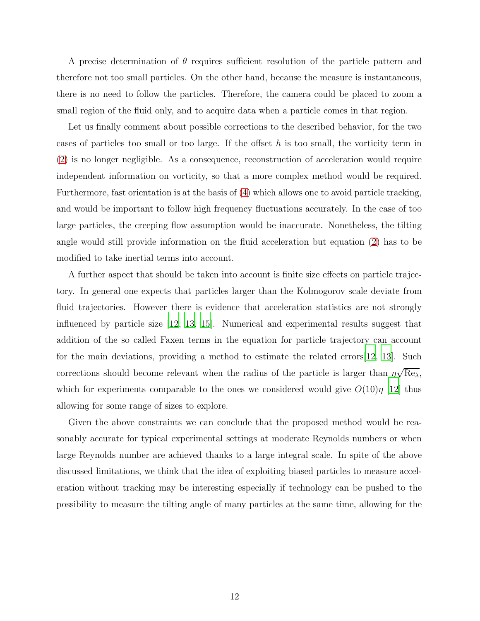A precise determination of  $\theta$  requires sufficient resolution of the particle pattern and therefore not too small particles. On the other hand, because the measure is instantaneous, there is no need to follow the particles. Therefore, the camera could be placed to zoom a small region of the fluid only, and to acquire data when a particle comes in that region.

Let us finally comment about possible corrections to the described behavior, for the two cases of particles too small or too large. If the offset  $h$  is too small, the vorticity term in [\(2\)](#page-2-1) is no longer negligible. As a consequence, reconstruction of acceleration would require independent information on vorticity, so that a more complex method would be required. Furthermore, fast orientation is at the basis of [\(4\)](#page-3-1) which allows one to avoid particle tracking, and would be important to follow high frequency fluctuations accurately. In the case of too large particles, the creeping flow assumption would be inaccurate. Nonetheless, the tilting angle would still provide information on the fluid acceleration but equation [\(2\)](#page-2-1) has to be modified to take inertial terms into account.

A further aspect that should be taken into account is finite size effects on particle trajectory. In general one expects that particles larger than the Kolmogorov scale deviate from fluid trajectories. However there is evidence that acceleration statistics are not strongly influenced by particle size [\[12,](#page-12-8) [13,](#page-13-0) [15](#page-13-2)]. Numerical and experimental results suggest that addition of the so called Faxen terms in the equation for particle trajectory can account for the main deviations, providing a method to estimate the related errors[\[12](#page-12-8), [13\]](#page-13-0). Such corrections should become relevant when the radius of the particle is larger than  $\eta\sqrt{\text{Re}_\lambda}$ , which for experiments comparable to the ones we considered would give  $O(10)\eta$  [\[12\]](#page-12-8) thus allowing for some range of sizes to explore.

Given the above constraints we can conclude that the proposed method would be reasonably accurate for typical experimental settings at moderate Reynolds numbers or when large Reynolds number are achieved thanks to a large integral scale. In spite of the above discussed limitations, we think that the idea of exploiting biased particles to measure acceleration without tracking may be interesting especially if technology can be pushed to the possibility to measure the tilting angle of many particles at the same time, allowing for the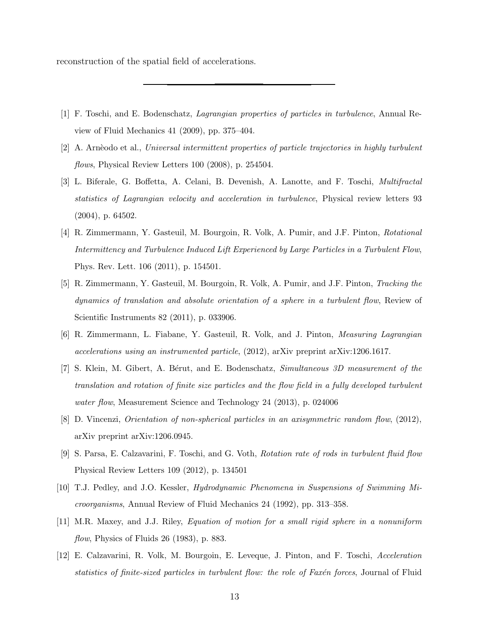reconstruction of the spatial field of accelerations.

- <span id="page-12-0"></span>[1] F. Toschi, and E. Bodenschatz, Lagrangian properties of particles in turbulence, Annual Review of Fluid Mechanics 41 (2009), pp. 375–404.
- <span id="page-12-1"></span> $[2]$  A. Arnèodo et al., Universal intermittent properties of particle trajectories in highly turbulent flows, Physical Review Letters 100 (2008), p. 254504.
- <span id="page-12-2"></span>[3] L. Biferale, G. Boffetta, A. Celani, B. Devenish, A. Lanotte, and F. Toschi, Multifractal statistics of Lagrangian velocity and acceleration in turbulence, Physical review letters 93 (2004), p. 64502.
- <span id="page-12-3"></span>[4] R. Zimmermann, Y. Gasteuil, M. Bourgoin, R. Volk, A. Pumir, and J.F. Pinton, Rotational Intermittency and Turbulence Induced Lift Experienced by Large Particles in a Turbulent Flow, Phys. Rev. Lett. 106 (2011), p. 154501.
- [5] R. Zimmermann, Y. Gasteuil, M. Bourgoin, R. Volk, A. Pumir, and J.F. Pinton, Tracking the dynamics of translation and absolute orientation of a sphere in a turbulent flow, Review of Scientific Instruments 82 (2011), p. 033906.
- [6] R. Zimmermann, L. Fiabane, Y. Gasteuil, R. Volk, and J. Pinton, Measuring Lagrangian accelerations using an instrumented particle, (2012), arXiv preprint arXiv:1206.1617.
- <span id="page-12-9"></span>[7] S. Klein, M. Gibert, A. Bérut, and E. Bodenschatz, Simultaneous 3D measurement of the translation and rotation of finite size particles and the flow field in a fully developed turbulent water flow, Measurement Science and Technology 24 (2013), p. 024006
- <span id="page-12-6"></span>[8] D. Vincenzi, Orientation of non-spherical particles in an axisymmetric random flow, (2012), arXiv preprint arXiv:1206.0945.
- <span id="page-12-4"></span>[9] S. Parsa, E. Calzavarini, F. Toschi, and G. Voth, Rotation rate of rods in turbulent fluid flow Physical Review Letters 109 (2012), p. 134501
- <span id="page-12-5"></span>[10] T.J. Pedley, and J.O. Kessler, Hydrodynamic Phenomena in Suspensions of Swimming Microorganisms, Annual Review of Fluid Mechanics 24 (1992), pp. 313–358.
- <span id="page-12-7"></span>[11] M.R. Maxey, and J.J. Riley, Equation of motion for a small rigid sphere in a nonuniform flow, Physics of Fluids  $26$  (1983), p. 883.
- <span id="page-12-8"></span>[12] E. Calzavarini, R. Volk, M. Bourgoin, E. Leveque, J. Pinton, and F. Toschi, Acceleration statistics of finite-sized particles in turbulent flow: the role of Faxén forces, Journal of Fluid